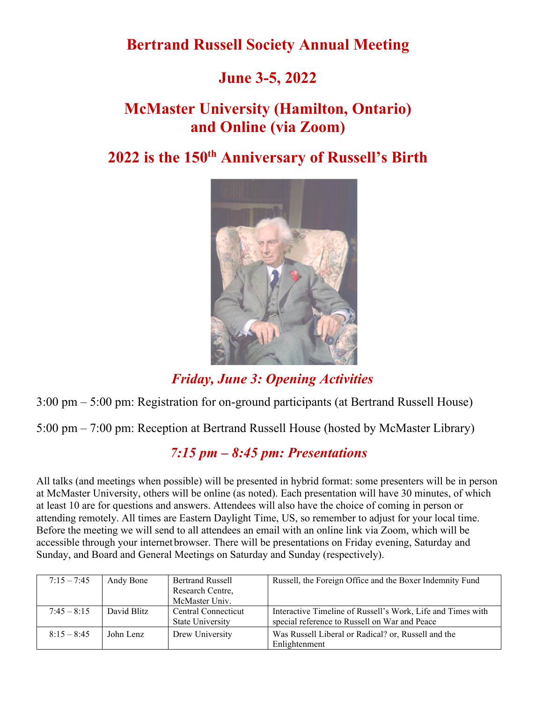**Bertrand Russell Society Annual Meeting**

## **June 3-5, 2022**

# **McMaster University (Hamilton, Ontario) and Online (via Zoom)**

## **2022 is the 150th Anniversary of Russell's Birth**



*Friday, June 3: Opening Activities*

3:00 pm – 5:00 pm: Registration for on-ground participants (at Bertrand Russell House)

5:00 pm – 7:00 pm: Reception at Bertrand Russell House (hosted by McMaster Library)

## *7:15 pm – 8:45 pm: Presentations*

All talks (and meetings when possible) will be presented in hybrid format: some presenters will be in person at McMaster University, others will be online (as noted). Each presentation will have 30 minutes, of which at least 10 are for questions and answers. Attendees will also have the choice of coming in person or attending remotely. All times are Eastern Daylight Time, US, so remember to adjust for your local time. Before the meeting we will send to all attendees an email with an online link via Zoom, which will be accessible through your internet browser. There will be presentations on Friday evening, Saturday and Sunday, and Board and General Meetings on Saturday and Sunday (respectively).

| $7:15 - 7:45$ | Andy Bone   | <b>Bertrand Russell</b><br>Research Centre,<br>McMaster Univ. | Russell, the Foreign Office and the Boxer Indemnity Fund                                                     |
|---------------|-------------|---------------------------------------------------------------|--------------------------------------------------------------------------------------------------------------|
| $7:45 - 8:15$ | David Blitz | Central Connecticut<br><b>State University</b>                | Interactive Timeline of Russell's Work, Life and Times with<br>special reference to Russell on War and Peace |
| $8:15 - 8:45$ | John Lenz   | Drew University                                               | Was Russell Liberal or Radical? or, Russell and the<br>Enlightenment                                         |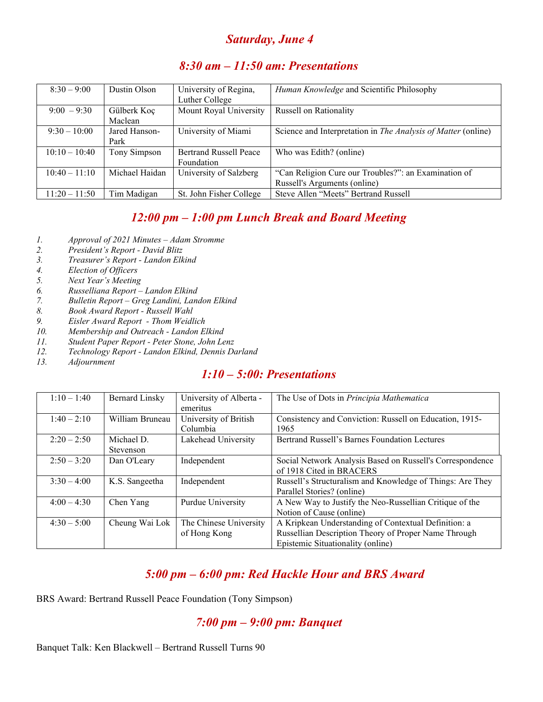#### *Saturday, June 4*

#### *8:30 am – 11:50 am: Presentations*

| $8:30 - 9:00$   | Dustin Olson          | University of Regina,<br>Luther College | Human Knowledge and Scientific Philosophy                            |
|-----------------|-----------------------|-----------------------------------------|----------------------------------------------------------------------|
| $9:00 - 9:30$   | Gülberk Koç           | Mount Royal University                  | <b>Russell on Rationality</b>                                        |
|                 | Maclean               |                                         |                                                                      |
| $9:30 - 10:00$  | Jared Hanson-<br>Park | University of Miami                     | Science and Interpretation in <i>The Analysis of Matter</i> (online) |
|                 |                       |                                         |                                                                      |
| $10:10 - 10:40$ | Tony Simpson          | <b>Bertrand Russell Peace</b>           | Who was Edith? (online)                                              |
|                 |                       | Foundation                              |                                                                      |
| $10:40 - 11:10$ | Michael Haidan        | University of Salzberg                  | "Can Religion Cure our Troubles?": an Examination of                 |
|                 |                       |                                         | Russell's Arguments (online)                                         |
| $11:20 - 11:50$ | Tim Madigan           | St. John Fisher College                 | Steve Allen "Meets" Bertrand Russell                                 |

#### *12:00 pm – 1:00 pm Lunch Break and Board Meeting*

- *1. Approval of 2021 Minutes – Adam Stromme*
- *2. President's Report - David Blitz*
- *3. Treasurer's Report - Landon Elkind*
- *4. Election of Officers*
- *5. Next Year's Meeting*
- *6. Russelliana Report – Landon Elkind*
- *7. Bulletin Report – Greg Landini, Landon Elkind*
- *8. Book Award Report - Russell Wahl*
- *9. Eisler Award Report - Thom Weidlich*
- *10. Membership and Outreach - Landon Elkind*
- *11. Student Paper Report - Peter Stone, John Lenz*
- *12. Technology Report - Landon Elkind, Dennis Darland*
- *13. Adjournment*

#### *1:10 – 5:00: Presentations*

| $1:10 - 1:40$ | <b>Bernard Linsky</b> | University of Alberta - | The Use of Dots in Principia Mathematica                  |
|---------------|-----------------------|-------------------------|-----------------------------------------------------------|
|               |                       | emeritus                |                                                           |
| $1:40 - 2:10$ | William Bruneau       | University of British   | Consistency and Conviction: Russell on Education, 1915-   |
|               |                       | Columbia                | 1965                                                      |
| $2:20 - 2:50$ | Michael D.            | Lakehead University     | Bertrand Russell's Barnes Foundation Lectures             |
|               | Stevenson             |                         |                                                           |
| $2:50 - 3:20$ | Dan O'Leary           | Independent             | Social Network Analysis Based on Russell's Correspondence |
|               |                       |                         | of 1918 Cited in BRACERS                                  |
| $3:30 - 4:00$ | K.S. Sangeetha        | Independent             | Russell's Structuralism and Knowledge of Things: Are They |
|               |                       |                         | Parallel Stories? (online)                                |
| $4:00 - 4:30$ | Chen Yang             | Purdue University       | A New Way to Justify the Neo-Russellian Critique of the   |
|               |                       |                         | Notion of Cause (online)                                  |
| $4:30 - 5:00$ | Cheung Wai Lok        | The Chinese University  | A Kripkean Understanding of Contextual Definition: a      |
|               |                       | of Hong Kong            | Russellian Description Theory of Proper Name Through      |
|               |                       |                         | Epistemic Situationality (online)                         |

## *5:00 pm – 6:00 pm: Red Hackle Hour and BRS Award*

BRS Award: Bertrand Russell Peace Foundation (Tony Simpson)

#### *7:00 pm – 9:00 pm: Banquet*

Banquet Talk: Ken Blackwell – Bertrand Russell Turns 90